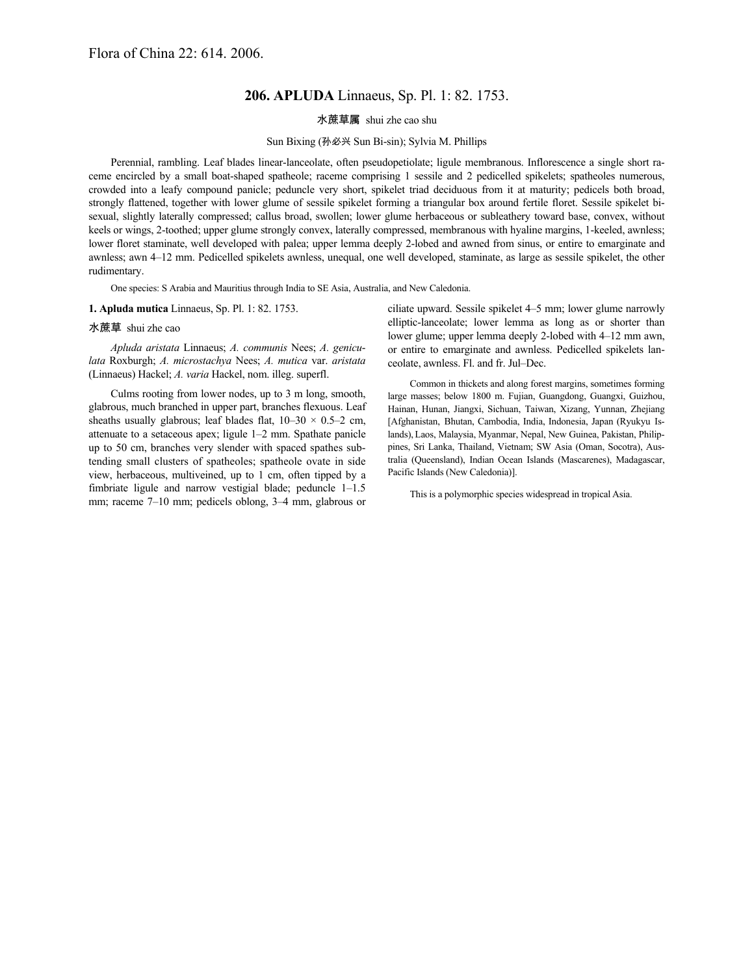# **206. APLUDA** Linnaeus, Sp. Pl. 1: 82. 1753.

## 水蔗草属 shui zhe cao shu

## Sun Bixing (孙必兴 Sun Bi-sin); Sylvia M. Phillips

Perennial, rambling. Leaf blades linear-lanceolate, often pseudopetiolate; ligule membranous. Inflorescence a single short raceme encircled by a small boat-shaped spatheole; raceme comprising 1 sessile and 2 pedicelled spikelets; spatheoles numerous, crowded into a leafy compound panicle; peduncle very short, spikelet triad deciduous from it at maturity; pedicels both broad, strongly flattened, together with lower glume of sessile spikelet forming a triangular box around fertile floret. Sessile spikelet bisexual, slightly laterally compressed; callus broad, swollen; lower glume herbaceous or subleathery toward base, convex, without keels or wings, 2-toothed; upper glume strongly convex, laterally compressed, membranous with hyaline margins, 1-keeled, awnless; lower floret staminate, well developed with palea; upper lemma deeply 2-lobed and awned from sinus, or entire to emarginate and awnless; awn 4–12 mm. Pedicelled spikelets awnless, unequal, one well developed, staminate, as large as sessile spikelet, the other rudimentary.

One species: S Arabia and Mauritius through India to SE Asia, Australia, and New Caledonia.

### **1. Apluda mutica** Linnaeus, Sp. Pl. 1: 82. 1753.

#### 水蔗草 shui zhe cao

*Apluda aristata* Linnaeus; *A. communis* Nees; *A. geniculata* Roxburgh; *A. microstachya* Nees; *A. mutica* var. *aristata* (Linnaeus) Hackel; *A. varia* Hackel, nom. illeg. superfl.

Culms rooting from lower nodes, up to 3 m long, smooth, glabrous, much branched in upper part, branches flexuous. Leaf sheaths usually glabrous; leaf blades flat,  $10-30 \times 0.5-2$  cm, attenuate to a setaceous apex; ligule 1–2 mm. Spathate panicle up to 50 cm, branches very slender with spaced spathes subtending small clusters of spatheoles; spatheole ovate in side view, herbaceous, multiveined, up to 1 cm, often tipped by a fimbriate ligule and narrow vestigial blade; peduncle 1–1.5 mm; raceme 7–10 mm; pedicels oblong, 3–4 mm, glabrous or

ciliate upward. Sessile spikelet 4–5 mm; lower glume narrowly elliptic-lanceolate; lower lemma as long as or shorter than lower glume; upper lemma deeply 2-lobed with 4–12 mm awn, or entire to emarginate and awnless. Pedicelled spikelets lanceolate, awnless. Fl. and fr. Jul–Dec.

Common in thickets and along forest margins, sometimes forming large masses; below 1800 m. Fujian, Guangdong, Guangxi, Guizhou, Hainan, Hunan, Jiangxi, Sichuan, Taiwan, Xizang, Yunnan, Zhejiang [Afghanistan, Bhutan, Cambodia, India, Indonesia, Japan (Ryukyu Islands),Laos, Malaysia, Myanmar, Nepal, New Guinea, Pakistan, Philippines, Sri Lanka, Thailand, Vietnam; SW Asia (Oman, Socotra), Australia (Queensland), Indian Ocean Islands (Mascarenes), Madagascar, Pacific Islands (New Caledonia)].

This is a polymorphic species widespread in tropical Asia.